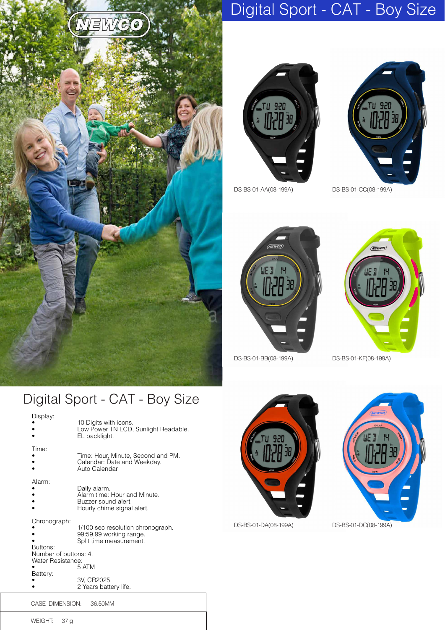





DS-BS-01-AA(08-199A) DS-BS-01-CC(08-199A)



DS-BS-01-BB(08-199A) DS-BS-01-KF(08-199A)



## Digital Sport - CAT - Boy Size

**NEWC** 

| Display:                                                                           | 10 Digits with icons.<br>Low Power TN LCD, Sunlight Readable.<br>EL backlight.                                                          |
|------------------------------------------------------------------------------------|-----------------------------------------------------------------------------------------------------------------------------------------|
| Time:                                                                              | Time: Hour, Minute, Second and PM.<br>Calendar: Date and Weekday.<br>Auto Calendar                                                      |
| Alarm <sup>-</sup>                                                                 | Daily alarm.<br>Alarm time: Hour and Minute.<br>Buzzer sound alert.<br>Hourly chime signal alert.                                       |
| Chronograph:<br>Buttons:<br>Number of buttons: 4.<br>Water Resistance:<br>Battery: | 1/100 sec resolution chronograph.<br>99:59.99 working range.<br>Split time measurement.<br>5 ATM<br>3V, CR2025<br>2 Years battery life. |





WEIGHT: 37 g

CASE DIMENSION: 36.50MM